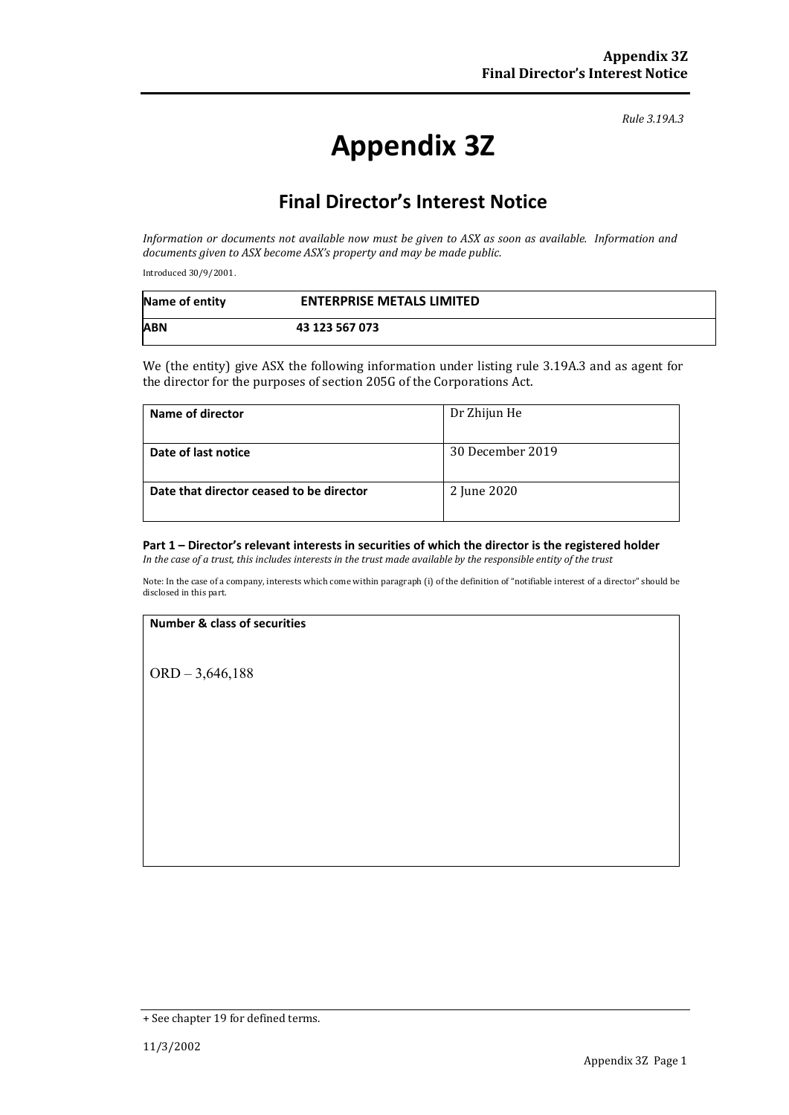*Rule 3.19A.3*

# **Appendix 3Z**

# **Final Director's Interest Notice**

*Information or documents not available now must be given to ASX as soon as available. Information and documents given to ASX become ASX's property and may be made public.*

Introduced 30/9/2001.

| Name of entity | <b>ENTERPRISE METALS LIMITED</b> |
|----------------|----------------------------------|
| <b>ABN</b>     | 43 123 567 073                   |

We (the entity) give ASX the following information under listing rule 3.19A.3 and as agent for the director for the purposes of section 205G of the Corporations Act.

| Name of director                         | Dr Zhijun He     |
|------------------------------------------|------------------|
| Date of last notice                      | 30 December 2019 |
| Date that director ceased to be director | 2 June 2020      |

## **Part 1 – Director's relevant interests in securities of which the director is the registered holder**

*In the case of a trust, this includes interests in the trust made available by the responsible entity of the trust*

Note: In the case of a company, interests which come within paragraph (i) of the definition of "notifiable interest of a director" should be disclosed in this part.

#### **Number & class of securities**

ORD – 3,646,188

<sup>+</sup> See chapter 19 for defined terms.